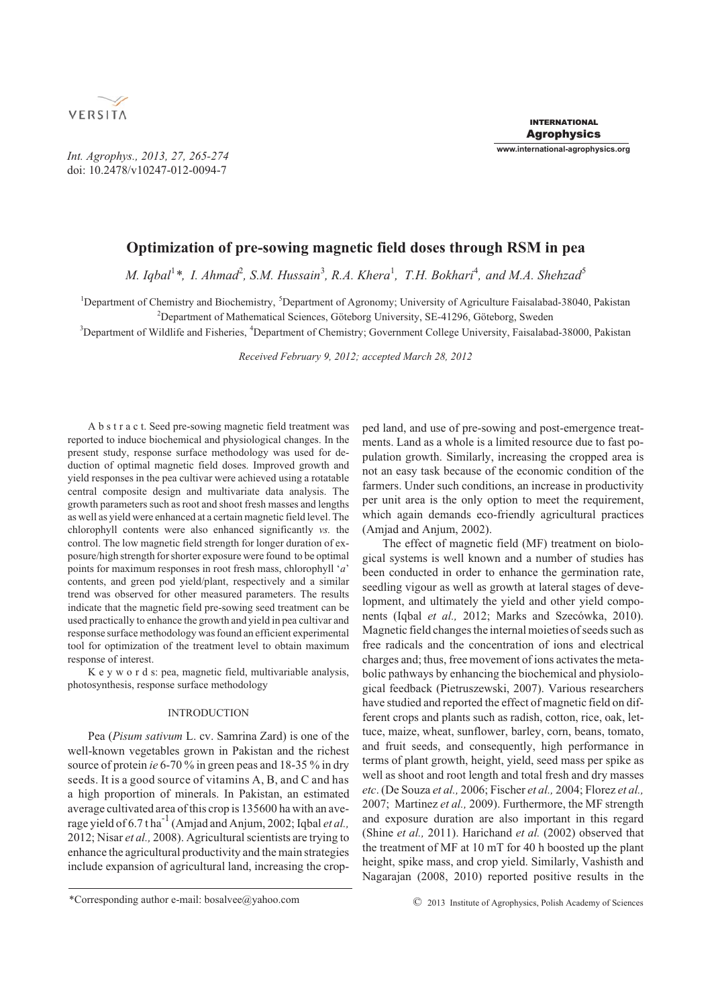

*Int. Agrophys., 2013, 27, 265-274* doi: 10.2478/v10247-012-0094-7

# **Optimization of pre-sowing magnetic field doses through RSM in pea**

*M. Iqbal*<sup>1</sup>\*, *I. Ahmad*<sup>2</sup>, *S.M. Hussain*<sup>3</sup>, *R.A. Khera*<sup>1</sup>, *T.H. Bokhari*<sup>4</sup>, and *M.A. Shehzad*<sup>5</sup>

<sup>1</sup>Department of Chemistry and Biochemistry, <sup>5</sup>Department of Agronomy; University of Agriculture Faisalabad-38040, Pakistan <sup>2</sup>Department of Mathematical Sciences, Göteborg University, SE-41296, Göteborg, Sweden

<sup>3</sup>Department of Wildlife and Fisheries, <sup>4</sup>Department of Chemistry; Government College University, Faisalabad-38000, Pakistan

*Received February 9, 2012; accepted March 28, 2012*

A b s t r a c t. Seed pre-sowing magnetic field treatment was reported to induce biochemical and physiological changes. In the present study, response surface methodology was used for deduction of optimal magnetic field doses. Improved growth and yield responses in the pea cultivar were achieved using a rotatable central composite design and multivariate data analysis. The growth parameters such as root and shoot fresh masses and lengths as well as yield were enhanced at a certain magnetic field level. The chlorophyll contents were also enhanced significantly *vs.* the control. The low magnetic field strength for longer duration of exposure/high strength for shorter exposure were found to be optimal points for maximum responses in root fresh mass, chlorophyll '*a*' contents, and green pod yield/plant, respectively and a similar trend was observed for other measured parameters. The results indicate that the magnetic field pre-sowing seed treatment can be used practically to enhance the growth and yield in pea cultivar and response surface methodology was found an efficient experimental tool for optimization of the treatment level to obtain maximum response of interest.

K e y w o r d s: pea, magnetic field, multivariable analysis, photosynthesis, response surface methodology

# INTRODUCTION

Pea (*Pisum sativum* L. cv. Samrina Zard) is one of the well-known vegetables grown in Pakistan and the richest source of protein *ie* 6-70 % in green peas and 18-35 % in dry seeds. It is a good source of vitamins A, B, and C and has a high proportion of minerals. In Pakistan, an estimated average cultivated area of this crop is 135600 ha with an average yield of  $6.7$  t ha<sup>-1</sup> (Amjad and Anjum, 2002; Iqbal *et al.*, 2012; Nisar *et al.,* 2008). Agricultural scientists are trying to enhance the agricultural productivity and the main strategies include expansion of agricultural land, increasing the cropped land, and use of pre-sowing and post-emergence treatments. Land as a whole is a limited resource due to fast population growth. Similarly, increasing the cropped area is not an easy task because of the economic condition of the farmers. Under such conditions, an increase in productivity per unit area is the only option to meet the requirement, which again demands eco-friendly agricultural practices (Amjad and Anjum, 2002).

The effect of magnetic field (MF) treatment on biological systems is well known and a number of studies has been conducted in order to enhance the germination rate, seedling vigour as well as growth at lateral stages of development, and ultimately the yield and other yield components (Iqbal *et al.,* 2012; Marks and Szecówka, 2010). Magnetic field changes the internal moieties of seeds such as free radicals and the concentration of ions and electrical charges and; thus, free movement of ions activates the metabolic pathways by enhancing the biochemical and physiological feedback (Pietruszewski, 2007). Various researchers have studied and reported the effect of magnetic field on different crops and plants such as radish, cotton, rice, oak, lettuce, maize, wheat, sunflower, barley, corn, beans, tomato, and fruit seeds, and consequently, high performance in terms of plant growth, height, yield, seed mass per spike as well as shoot and root length and total fresh and dry masses *etc*. (De Souza *et al.,* 2006; Fischer *et al.,* 2004; Florez *et al.,* 2007; Martinez *et al.,* 2009). Furthermore, the MF strength and exposure duration are also important in this regard (Shine *et al.,* 2011). Harichand *et al.* (2002) observed that the treatment of MF at 10 mT for 40 h boosted up the plant height, spike mass, and crop yield. Similarly, Vashisth and Nagarajan (2008, 2010) reported positive results in the

<sup>\*</sup>Corresponding author e-mail: bosalvee@yahoo.com © 2013 Institute of Agrophysics, Polish Academy of Sciences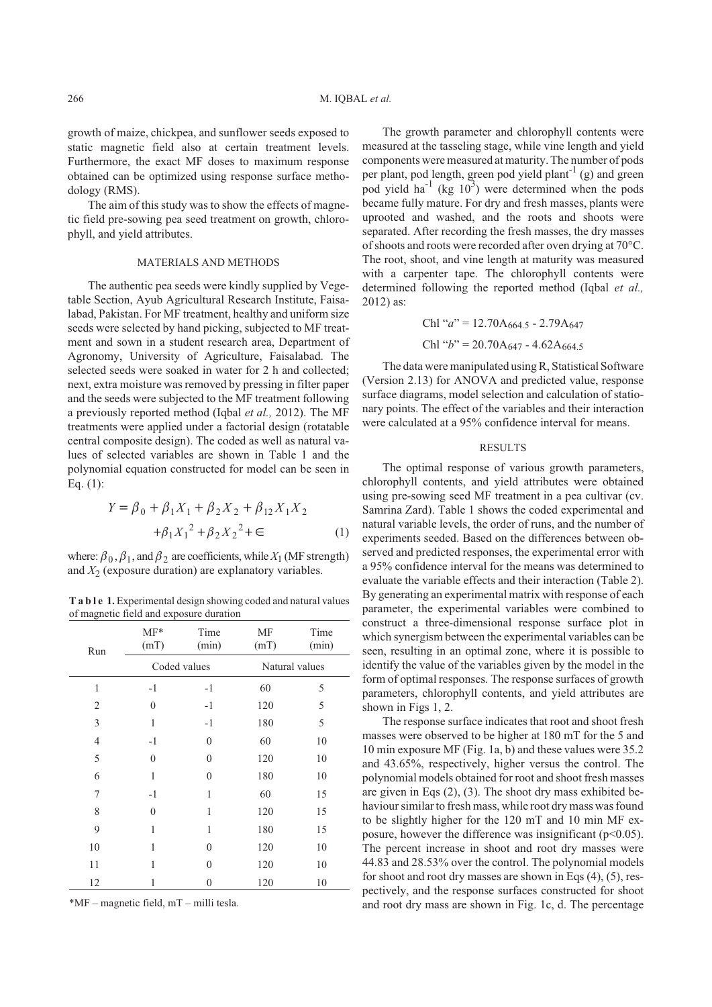growth of maize, chickpea, and sunflower seeds exposed to static magnetic field also at certain treatment levels. Furthermore, the exact MF doses to maximum response obtained can be optimized using response surface methodology (RMS).

The aim of this study was to show the effects of magnetic field pre-sowing pea seed treatment on growth, chlorophyll, and yield attributes.

#### MATERIALS AND METHODS

The authentic pea seeds were kindly supplied by Vegetable Section, Ayub Agricultural Research Institute, Faisalabad, Pakistan. For MF treatment, healthy and uniform size seeds were selected by hand picking, subjected to MF treatment and sown in a student research area, Department of Agronomy, University of Agriculture, Faisalabad. The selected seeds were soaked in water for 2 h and collected; next, extra moisture was removed by pressing in filter paper and the seeds were subjected to the MF treatment following a previously reported method (Iqbal *et al.,* 2012). The MF treatments were applied under a factorial design (rotatable central composite design). The coded as well as natural values of selected variables are shown in Table 1 and the polynomial equation constructed for model can be seen in Eq. (1):

$$
Y = \beta_0 + \beta_1 X_1 + \beta_2 X_2 + \beta_{12} X_1 X_2
$$
  
+  $\beta_1 X_1^2 + \beta_2 X_2^2 + \in$  (1)

where:  $\beta_0$ ,  $\beta_1$ , and  $\beta_2$  are coefficients, while  $X_1$  (MF strength) and  $X<sub>2</sub>$  (exposure duration) are explanatory variables.

**T a b l e 1.** Experimental design showing coded and natural values of magnetic field and exposure duration

| Run            | $MF*$<br>(mT) | Time<br>(min) | МF<br>(mT)     | Time<br>(min) |
|----------------|---------------|---------------|----------------|---------------|
|                |               | Coded values  | Natural values |               |
| $\mathbf{1}$   | $-1$          | $-1$          | 60             | 5             |
| $\overline{2}$ | $\theta$      | $-1$          | 120            | 5             |
| 3              | $\mathbf{1}$  | $-1$          | 180            | 5             |
| $\overline{4}$ | $-1$          | $\theta$      | 60             | 10            |
| 5              | $\mathbf{0}$  | $\theta$      | 120            | 10            |
| 6              | 1             | $\theta$      | 180            | 10            |
| 7              | $-1$          | 1             | 60             | 15            |
| 8              | $\theta$      | 1             | 120            | 15            |
| 9              | 1             | 1             | 180            | 15            |
| 10             | 1             | $\theta$      | 120            | 10            |
| 11             | 1             | $\Omega$      | 120            | 10            |
| 12             | 1             | 0             | 120            | 10            |

\*MF – magnetic field, mT – milli tesla.

The growth parameter and chlorophyll contents were measured at the tasseling stage, while vine length and yield components were measured at maturity. The number of pods per plant, pod length, green pod yield plant<sup>-1</sup> (g) and green pod yield ha<sup>-1</sup> (kg  $10^3$ ) were determined when the pods became fully mature. For dry and fresh masses, plants were uprooted and washed, and the roots and shoots were separated. After recording the fresh masses, the dry masses of shoots and roots were recorded after oven drying at 70°C. The root, shoot, and vine length at maturity was measured with a carpenter tape. The chlorophyll contents were determined following the reported method (Iqbal *et al.,* 2012) as:

Chl "
$$
a
$$
" = 12.70A<sub>664.5</sub> - 2.79A<sub>647</sub>  
Chl " $b$ " = 20.70A<sub>647</sub> - 4.62A<sub>664.5</sub>

The data were manipulated using R, Statistical Software (Version 2.13) for ANOVA and predicted value, response surface diagrams, model selection and calculation of stationary points. The effect of the variables and their interaction were calculated at a 95% confidence interval for means.

#### RESULTS

The optimal response of various growth parameters, chlorophyll contents, and yield attributes were obtained using pre-sowing seed MF treatment in a pea cultivar (cv. Samrina Zard). Table 1 shows the coded experimental and natural variable levels, the order of runs, and the number of experiments seeded. Based on the differences between observed and predicted responses, the experimental error with a 95% confidence interval for the means was determined to evaluate the variable effects and their interaction (Table 2). By generating an experimental matrix with response of each parameter, the experimental variables were combined to construct a three-dimensional response surface plot in which synergism between the experimental variables can be seen, resulting in an optimal zone, where it is possible to identify the value of the variables given by the model in the form of optimal responses. The response surfaces of growth parameters, chlorophyll contents, and yield attributes are shown in Figs 1, 2.

The response surface indicates that root and shoot fresh masses were observed to be higher at 180 mT for the 5 and 10 min exposure MF (Fig. 1a, b) and these values were 35.2 and 43.65%, respectively, higher versus the control. The polynomial models obtained for root and shoot fresh masses are given in Eqs (2), (3). The shoot dry mass exhibited behaviour similar to fresh mass, while root dry mass was found to be slightly higher for the 120 mT and 10 min MF exposure, however the difference was insignificant ( $p<0.05$ ). The percent increase in shoot and root dry masses were 44.83 and 28.53% over the control. The polynomial models for shoot and root dry masses are shown in Eqs (4), (5), respectively, and the response surfaces constructed for shoot and root dry mass are shown in Fig. 1c, d. The percentage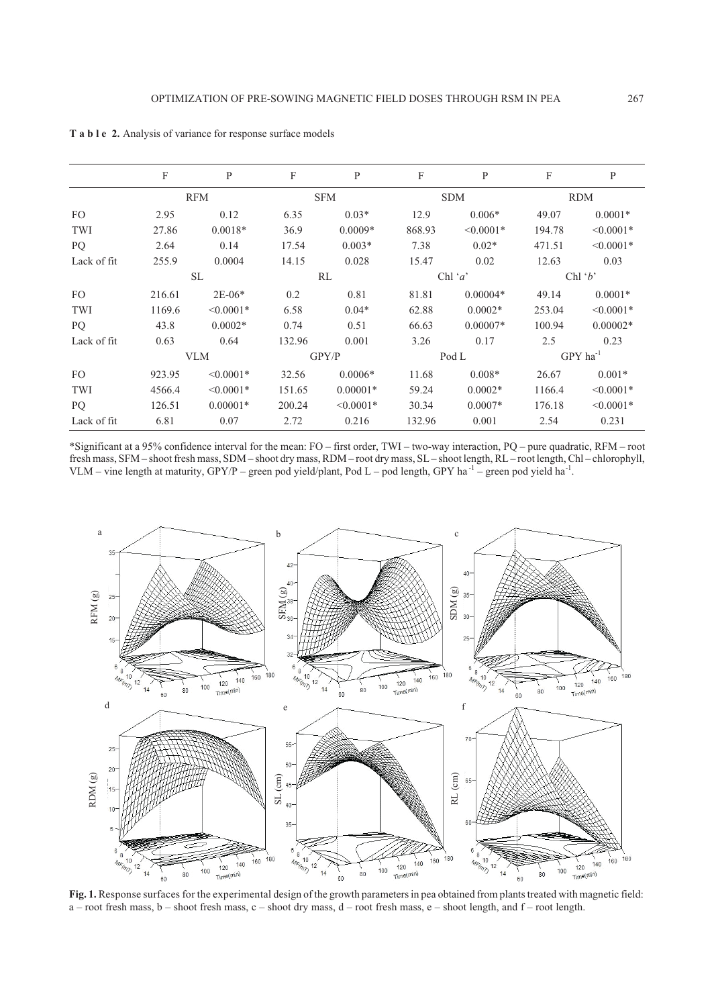|             | F          | P              | F          | P              | F           | P              | F                      | $\mathbf{P}$   |
|-------------|------------|----------------|------------|----------------|-------------|----------------|------------------------|----------------|
|             | <b>RFM</b> |                | <b>SFM</b> |                | <b>SDM</b>  |                | <b>RDM</b>             |                |
| FO.         | 2.95       | 0.12           | 6.35       | $0.03*$        | 12.9        | $0.006*$       | 49.07                  | $0.0001*$      |
| TWI         | 27.86      | $0.0018*$      | 36.9       | $0.0009*$      | 868.93      | $\leq 0.0001*$ | 194.78                 | $\leq 0.0001*$ |
| PQ          | 2.64       | 0.14           | 17.54      | $0.003*$       | 7.38        | $0.02*$        | 471.51                 | $< 0.0001*$    |
| Lack of fit | 255.9      | 0.0004         | 14.15      | 0.028          | 15.47       | 0.02           | 12.63                  | 0.03           |
|             | SL.        |                | RL         |                | Chl ' $a$ ' |                | Chl $b$                |                |
| FO.         | 216.61     | $2E-06*$       | 0.2        | 0.81           | 81.81       | $0.00004*$     | 49.14                  | $0.0001*$      |
| TWI         | 1169.6     | $\leq 0.0001*$ | 6.58       | $0.04*$        | 62.88       | $0.0002*$      | 253.04                 | $< 0.0001*$    |
| PQ          | 43.8       | $0.0002*$      | 0.74       | 0.51           | 66.63       | $0.00007*$     | 100.94                 | $0.00002*$     |
| Lack of fit | 0.63       | 0.64           | 132.96     | 0.001          | 3.26        | 0.17           | 2.5                    | 0.23           |
|             | <b>VLM</b> |                | GPY/P      |                | Pod L       |                | $GPY$ ha <sup>-1</sup> |                |
| FO.         | 923.95     | $\leq 0.0001*$ | 32.56      | $0.0006*$      | 11.68       | $0.008*$       | 26.67                  | $0.001*$       |
| TWI         | 4566.4     | $\leq 0.0001*$ | 151.65     | $0.00001*$     | 59.24       | $0.0002*$      | 1166.4                 | $\leq 0.0001*$ |
| PQ.         | 126.51     | $0.00001*$     | 200.24     | $\leq 0.0001*$ | 30.34       | $0.0007*$      | 176.18                 | $\leq 0.0001*$ |
| Lack of fit | 6.81       | 0.07           | 2.72       | 0.216          | 132.96      | 0.001          | 2.54                   | 0.231          |

**T a b l e 2.** Analysis of variance for response surface models

\*Significant at a 95% confidence interval for the mean: FO – first order, TWI – two-way interaction, PQ – pure quadratic, RFM – root fresh mass, SFM – shoot fresh mass, SDM – shoot dry mass, RDM – root dry mass, SL – shoot length, RL – root length, Chl – chlorophyll, VLM – vine length at maturity, GPY/P – green pod yield/plant, Pod L – pod length, GPY ha<sup>-1</sup> – green pod yield ha<sup>-1</sup>.



**Fig. 1.** Response surfaces for the experimental design of the growth parameters in pea obtained from plants treated with magnetic field: a – root fresh mass, b – shoot fresh mass, c – shoot dry mass, d – root fresh mass, e – shoot length, and f – root length.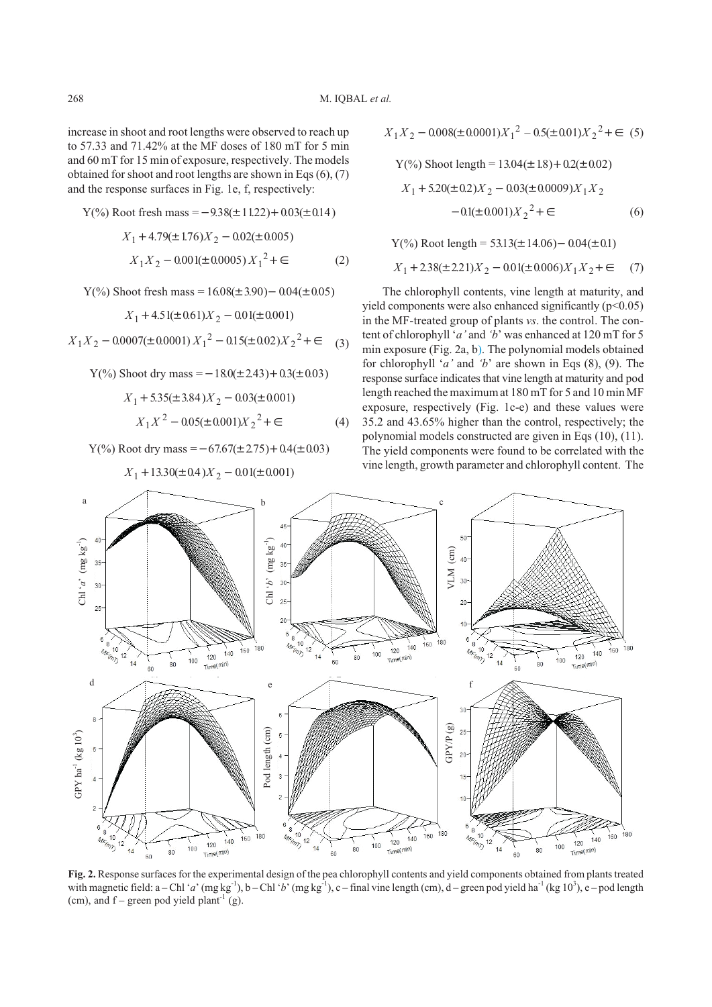increase in shoot and root lengths were observed to reach up to 57.33 and 71.42% at the MF doses of 180 mT for 5 min and 60 mT for 15 min of exposure, respectively. The models obtained for shoot and root lengths are shown in Eqs (6), (7) and the response surfaces in Fig. 1e, f, respectively:

Y(%) Root fresh mass = 
$$
-9.38(\pm 11.22) + 0.03(\pm 0.14)
$$
  
 $X_1 + 4.79(\pm 1.76)X_2 - 0.02(\pm 0.005)$   
 $X_1 X_2 - 0.001(\pm 0.0005)X_1^2 + \epsilon$  (2)

Y(%) Show fresh mass = 
$$
16.08(\pm 3.90) - 0.04(\pm 0.05)
$$
  
 $X_1 + 4.51(\pm 0.61)X_2 - 0.01(\pm 0.001)$ 

$$
X_1 X_2 - 0.0007(\pm 0.0001) X_1^2 - 0.15(\pm 0.02) X_2^2 + \in (3)
$$

Y(%) Show dry mass = 
$$
-18.0(\pm 243) + 0.3(\pm 0.03)
$$
  
\n $X_1 + 5.35(\pm 3.84)X_2 - 0.03(\pm 0.001)$   
\n $X_1X^2 - 0.05(\pm 0.001)X_2^2 + \epsilon$  (4)

 $Y(\%)$  Root dry mass =  $-67.67(\pm 2.75) + 0.4(\pm 0.03)$ 

$$
X_1 X_2 - 0.008(\pm 0.0001)X_1^2 - 0.5(\pm 0.01)X_2^2 + \in (5)
$$
  
\n
$$
Y(\%) \text{ shoot length} = 13.04(\pm 1.8) + 0.2(\pm 0.02)
$$
  
\n
$$
X_1 + 5.20(\pm 0.2)X_2 - 0.03(\pm 0.0009)X_1 X_2 -0.1(\pm 0.001)X_2^2 + \in (6)
$$

 $Y(\%)$  Root length = 53.13( $\pm$ 14.06) - 0.04( $\pm$ 0.1)

$$
X_1 + 238(\pm 221)X_2 - 0.01(\pm 0.006)X_1X_2 + \in (7)
$$

The chlorophyll contents, vine length at maturity, and yield components were also enhanced significantly (p<0.05) in the MF-treated group of plants *vs*. the control. The content of chlorophyll '*a'* and *'b*' was enhanced at 120 mT for 5 min exposure (Fig. 2a, b). The polynomial models obtained for chlorophyll '*a'* and *'b*' are shown in Eqs (8), (9). The response surface indicates that vine length at maturity and pod length reached the maximum at 180 mT for 5 and 10 min MF exposure, respectively (Fig. 1c-e) and these values were 35.2 and 43.65% higher than the control, respectively; the polynomial models constructed are given in Eqs (10), (11). The yield components were found to be correlated with the vine length, growth parameter and chlorophyll content. The



**Fig. 2.** Response surfaces for the experimental design of the pea chlorophyll contents and yield components obtained from plants treated with magnetic field:  $a$  – Chl '*a*' (mg kg<sup>-1</sup>), b – Chl '*b*' (mg kg<sup>-1</sup>), c – final vine length (cm), d – green pod yield ha<sup>-1</sup> (kg 10<sup>3</sup>), e – pod length (cm), and  $f$  – green pod yield plant<sup>-1</sup> (g).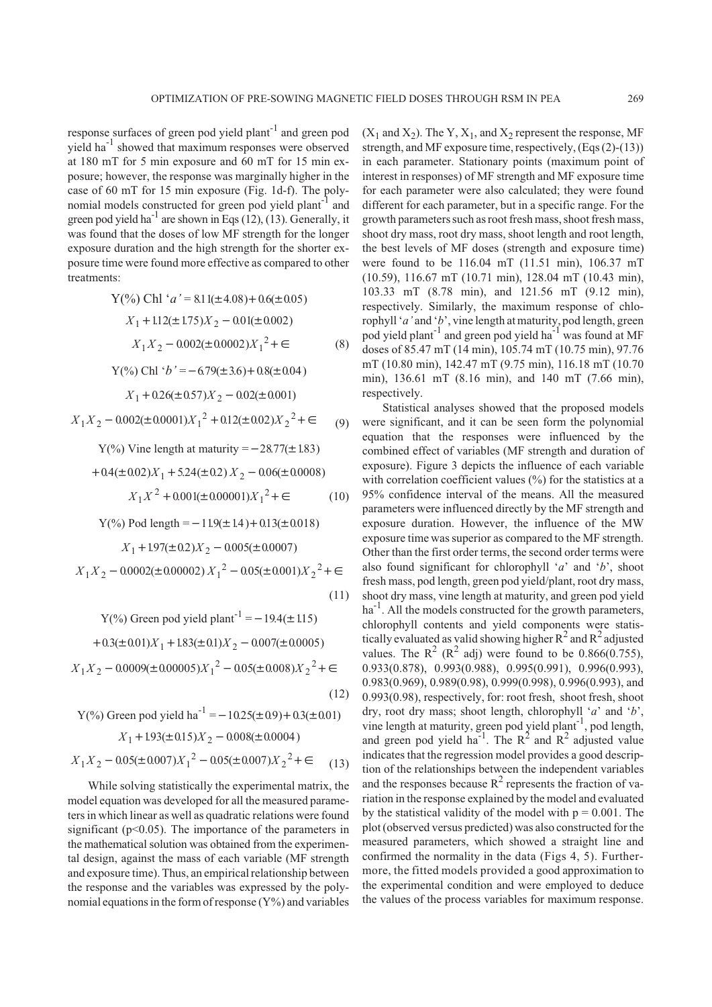response surfaces of green pod yield plant<sup>-1</sup> and green pod yield ha-1 showed that maximum responses were observed at 180 mT for 5 min exposure and 60 mT for 15 min exposure; however, the response was marginally higher in the case of 60 mT for 15 min exposure (Fig. 1d-f). The polynomial models constructed for green pod yield plant<sup>-1</sup> and green pod yield ha<sup>-1</sup> are shown in Eqs (12), (13). Generally, it was found that the doses of low MF strength for the longer exposure duration and the high strength for the shorter exposure time were found more effective as compared to other treatments:

Y(%) Chl 'a' = 8.11(
$$
\pm
$$
4.08)+0.6( $\pm$ 0.05)  
\n $X_1 + 1.12(\pm 1.75)X_2 - 0.01(\pm 0.002)$   
\n $X_1 X_2 - 0.002(\pm 0.0002)X_1^2 + \epsilon$  (8)

Y(%) Chl '
$$
b' = -6.79(\pm 3.6) + 0.8(\pm 0.04)
$$
  
 $X_1 + 0.26(\pm 0.57)X_2 - 0.02(\pm 0.001)$ 

$$
X_1 X_2 - 0.002(\pm 0.0001)X_1^2 + 0.12(\pm 0.02)X_2^2 + \in (9)
$$

$$
Y(\%)
$$
 Vine length at maturity = -28.77( $\pm$  1.83)

$$
+0.4(\pm 0.02)X_1 + 5.24(\pm 0.2)X_2 - 0.06(\pm 0.0008)
$$
  

$$
X_1X^2 + 0.001(\pm 0.00001)X_1^2 + \in (10)
$$

Y(%) Pod length = 
$$
-11.9(\pm 1.4) + 0.13(\pm 0.018)
$$
  
\n $X_1 + 1.97(\pm 0.2)X_2 - 0.005(\pm 0.0007)$   
\n $X_1 X_2 - 0.0002(\pm 0.00002) X_1^2 - 0.05(\pm 0.001)X_2^2 + \epsilon$ 

Y(%) Green pod yield plant<sup>-1</sup> = -19.4(±1.15)  
+0.3(±0.01)
$$
X_1
$$
+1.83(±0.1) $X_2$  - 0.007(±0.0005)  
 $X_1X_2$  - 0.0009(±0.00005) $X_1^2$  - 0.05(±0.008) $X_2^2$ +∈ (12)

Y(%) Green pod yield ha<sup>-1</sup> = -10.25(±0.9) + 0.3(±0.01)  
\n
$$
X_1 + 1.93(±0.15)X_2 - 0.008(±0.0004)
$$
  
\n $X_1X_2 - 0.05(±0.007)X_1^2 - 0.05(±0.007)X_2^2 + \epsilon$  (13)

While solving statistically the experimental matrix, the model equation was developed for all the measured parameters in which linear as well as quadratic relations were found significant ( $p$ <0.05). The importance of the parameters in the mathematical solution was obtained from the experimental design, against the mass of each variable (MF strength and exposure time). Thus, an empirical relationship between the response and the variables was expressed by the polynomial equations in the form of response  $(Y\%)$  and variables  $(X_1 \text{ and } X_2)$ . The Y,  $X_1$ , and  $X_2$  represent the response, MF strength, and MF exposure time, respectively, (Eqs (2)-(13)) in each parameter. Stationary points (maximum point of interest in responses) of MF strength and MF exposure time for each parameter were also calculated; they were found different for each parameter, but in a specific range. For the growth parameters such as root fresh mass, shoot fresh mass, shoot dry mass, root dry mass, shoot length and root length, the best levels of MF doses (strength and exposure time) were found to be 116.04 mT (11.51 min), 106.37 mT (10.59), 116.67 mT (10.71 min), 128.04 mT (10.43 min), 103.33 mT (8.78 min), and 121.56 mT (9.12 min), respectively. Similarly, the maximum response of chlorophyll '*a'* and '*b*', vine length at maturity, pod length, green pod yield plant-1 and green pod yield ha-1 was found at MF doses of 85.47 mT (14 min), 105.74 mT (10.75 min), 97.76 mT (10.80 min), 142.47 mT (9.75 min), 116.18 mT (10.70 min), 136.61 mT (8.16 min), and 140 mT (7.66 min), respectively.

(11) shoot dry mass, vine length at maturity, and green pod yield Statistical analyses showed that the proposed models were significant, and it can be seen form the polynomial equation that the responses were influenced by the combined effect of variables (MF strength and duration of exposure). Figure 3 depicts the influence of each variable with correlation coefficient values (%) for the statistics at a 95% confidence interval of the means. All the measured parameters were influenced directly by the MF strength and exposure duration. However, the influence of the MW exposure time was superior as compared to the MF strength. Other than the first order terms, the second order terms were also found significant for chlorophyll '*a*' and '*b*', shoot fresh mass, pod length, green pod yield/plant, root dry mass,  $ha^{-1}$ . All the models constructed for the growth parameters, chlorophyll contents and yield components were statistically evaluated as valid showing higher  $R^2$  and  $R^2$  adjusted values. The  $R^2$  ( $R^2$  adj) were found to be 0.866(0.755), 0.933(0.878), 0.993(0.988), 0.995(0.991), 0.996(0.993), 0.983(0.969), 0.989(0.98), 0.999(0.998), 0.996(0.993), and 0.993(0.98), respectively, for: root fresh, shoot fresh, shoot dry, root dry mass; shoot length, chlorophyll '*a*' and '*b*', vine length at maturity, green pod yield plant<sup>-1</sup>, pod length, and green pod yield ha<sup>-1</sup>. The  $R^2$  and  $R^2$  adjusted value indicates that the regression model provides a good description of the relationships between the independent variables and the responses because  $R^2$  represents the fraction of variation in the response explained by the model and evaluated by the statistical validity of the model with  $p = 0.001$ . The plot (observed versus predicted) was also constructed for the measured parameters, which showed a straight line and confirmed the normality in the data (Figs 4, 5). Furthermore, the fitted models provided a good approximation to the experimental condition and were employed to deduce the values of the process variables for maximum response.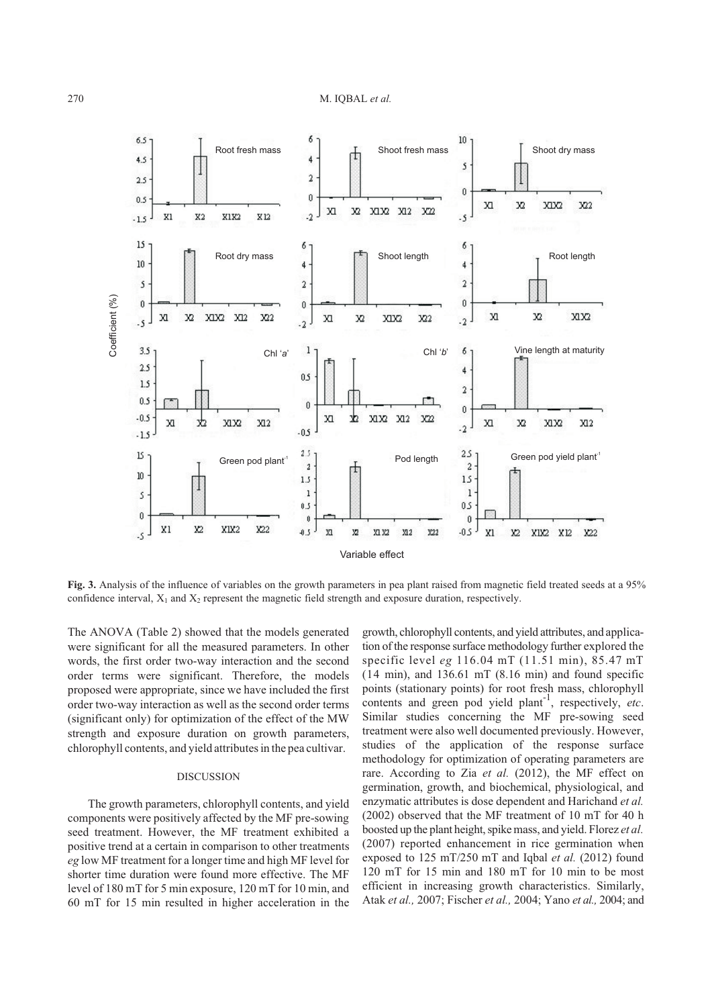

**Fig. 3.** Analysis of the influence of variables on the growth parameters in pea plant raised from magnetic field treated seeds at a 95%

The ANOVA (Table 2) showed that the models generated were significant for all the measured parameters. In other words, the first order two-way interaction and the second order terms were significant. Therefore, the models proposed were appropriate, since we have included the first order two-way interaction as well as the second order terms (significant only) for optimization of the effect of the MW strength and exposure duration on growth parameters, chlorophyll contents, and yield attributes in the pea cultivar.

## DISCUSSION

The growth parameters, chlorophyll contents, and yield components were positively affected by the MF pre-sowing seed treatment. However, the MF treatment exhibited a positive trend at a certain in comparison to other treatments *eg* low MF treatment for a longer time and high MF level for shorter time duration were found more effective. The MF level of 180 mT for 5 min exposure, 120 mT for 10 min, and 60 mT for 15 min resulted in higher acceleration in the

growth, chlorophyll contents, and yield attributes, and application of the response surface methodology further explored the specific level *eg* 116.04 mT (11.51 min), 85.47 mT  $(14 \text{ min})$ , and  $136.61 \text{ mT}$   $(8.16 \text{ min})$  and found specific points (stationary points) for root fresh mass, chlorophyll contents and green pod yield plant<sup>-1</sup>, respectively, *etc.* Similar studies concerning the MF pre-sowing seed treatment were also well documented previously. However, studies of the application of the response surface methodology for optimization of operating parameters are rare. According to Zia *et al.* (2012), the MF effect on germination, growth, and biochemical, physiological, and enzymatic attributes is dose dependent and Harichand *et al.* (2002) observed that the MF treatment of 10 mT for 40 h boosted up the plant height, spike mass, and yield. Florez *et al.* (2007) reported enhancement in rice germination when exposed to 125 mT/250 mT and Iqbal *et al.* (2012) found 120 mT for 15 min and 180 mT for 10 min to be most efficient in increasing growth characteristics. Similarly, Atak *et al.,* 2007; Fischer *et al.,* 2004; Yano *et al.,* 2004; and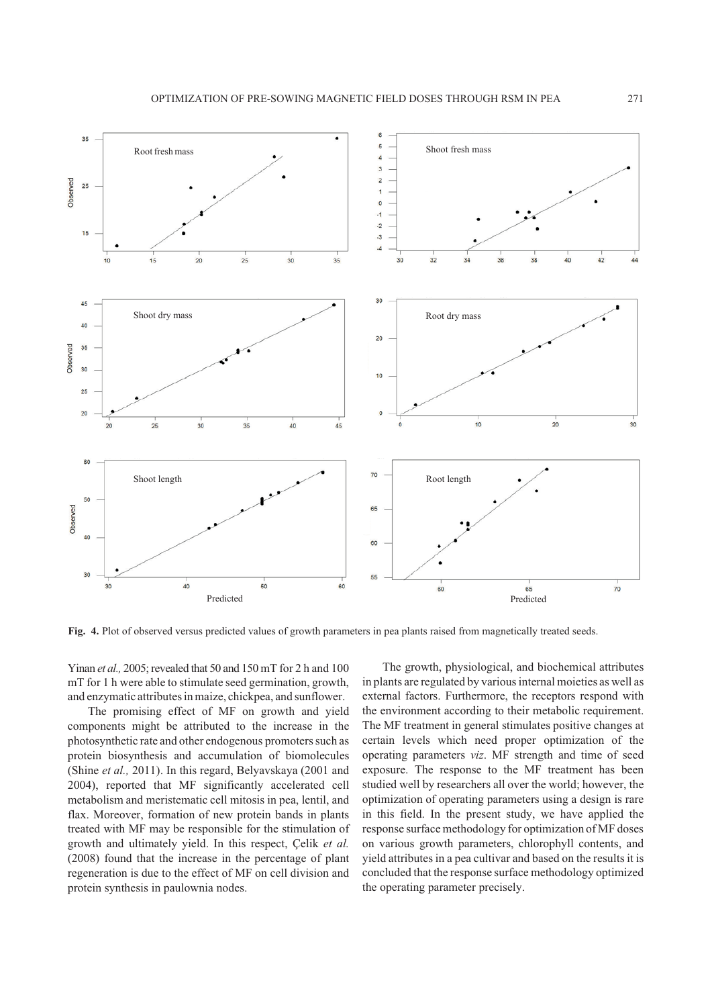

**Fig. 4.** Plot of observed versus predicted values of growth parameters in pea plants raised from magnetically treated seeds.

Yinan *et al.,* 2005; revealed that 50 and 150 mT for 2 h and 100 mT for 1 h were able to stimulate seed germination, growth, and enzymatic attributes in maize, chickpea, and sunflower.

The promising effect of MF on growth and yield components might be attributed to the increase in the photosynthetic rate and other endogenous promoters such as protein biosynthesis and accumulation of biomolecules (Shine *et al.,* 2011). In this regard, Belyavskaya (2001 and 2004), reported that MF significantly accelerated cell metabolism and meristematic cell mitosis in pea, lentil, and flax. Moreover, formation of new protein bands in plants treated with MF may be responsible for the stimulation of growth and ultimately yield. In this respect, Çelik *et al.* (2008) found that the increase in the percentage of plant regeneration is due to the effect of MF on cell division and protein synthesis in paulownia nodes.

The growth, physiological, and biochemical attributes in plants are regulated by various internal moieties as well as external factors. Furthermore, the receptors respond with the environment according to their metabolic requirement. The MF treatment in general stimulates positive changes at certain levels which need proper optimization of the operating parameters *viz*. MF strength and time of seed exposure. The response to the MF treatment has been studied well by researchers all over the world; however, the optimization of operating parameters using a design is rare in this field. In the present study, we have applied the response surface methodology for optimization of MF doses on various growth parameters, chlorophyll contents, and yield attributes in a pea cultivar and based on the results it is concluded that the response surface methodology optimized the operating parameter precisely.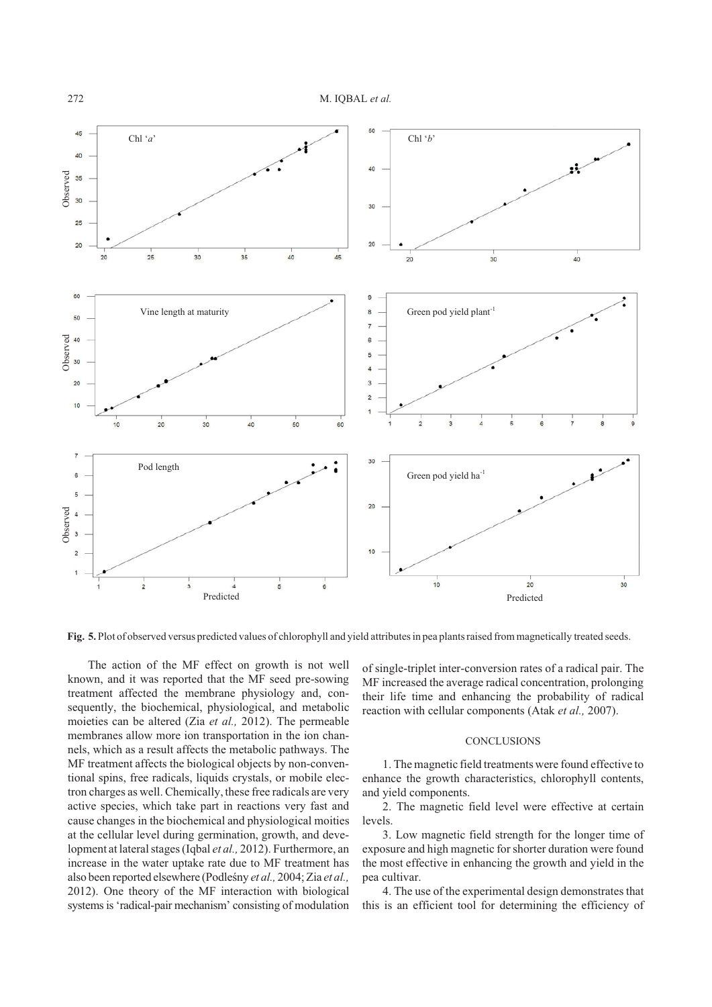

The action of the MF effect on growth is not well known, and it was reported that the MF seed pre-sowing treatment affected the membrane physiology and, consequently, the biochemical, physiological, and metabolic moieties can be altered (Zia *et al.,* 2012). The permeable membranes allow more ion transportation in the ion channels, which as a result affects the metabolic pathways. The MF treatment affects the biological objects by non-conventional spins, free radicals, liquids crystals, or mobile electron charges as well. Chemically, these free radicals are very active species, which take part in reactions very fast and cause changes in the biochemical and physiological moities at the cellular level during germination, growth, and development at lateral stages (Iqbal *et al.,* 2012). Furthermore, an increase in the water uptake rate due to MF treatment has also been reported elsewhere (Podleśny et al., 2004; Zia et al., 2012). One theory of the MF interaction with biological systems is 'radical-pair mechanism' consisting of modulation

of single-triplet inter-conversion rates of a radical pair. The MF increased the average radical concentration, prolonging their life time and enhancing the probability of radical reaction with cellular components (Atak *et al.,* 2007).

#### **CONCLUSIONS**

1. The magnetic field treatments were found effective to enhance the growth characteristics, chlorophyll contents, and yield components.

2. The magnetic field level were effective at certain levels.

3. Low magnetic field strength for the longer time of exposure and high magnetic for shorter duration were found the most effective in enhancing the growth and yield in the pea cultivar.

4. The use of the experimental design demonstrates that this is an efficient tool for determining the efficiency of